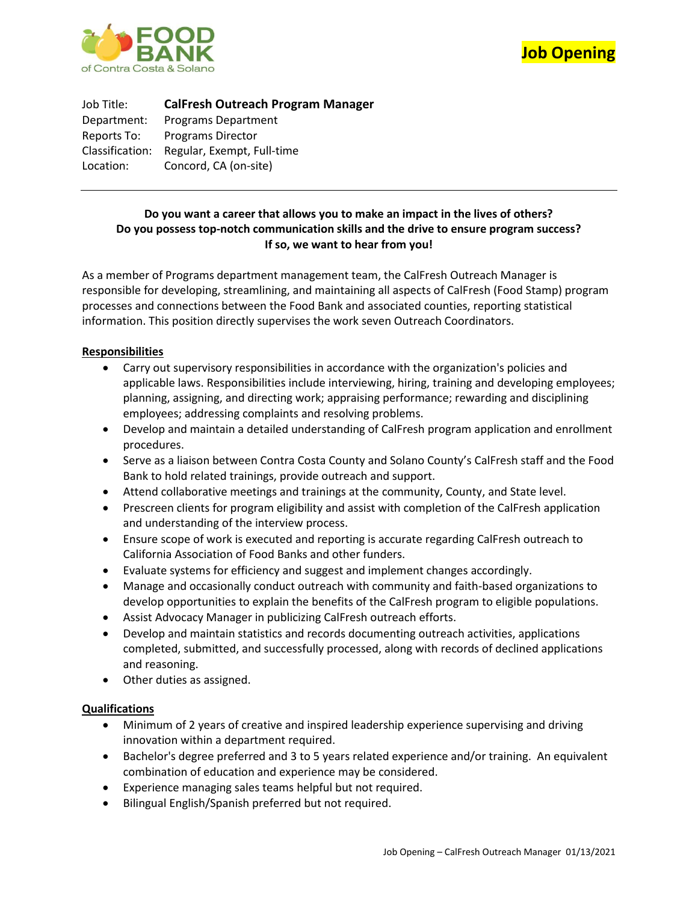



Job Title: **CalFresh Outreach Program Manager** Department: Programs Department Reports To: Programs Director Classification: Regular, Exempt, Full-time Location: Concord, CA (on-site)

# **Do you want a career that allows you to make an impact in the lives of others? Do you possess top-notch communication skills and the drive to ensure program success? If so, we want to hear from you!**

As a member of Programs department management team, the CalFresh Outreach Manager is responsible for developing, streamlining, and maintaining all aspects of CalFresh (Food Stamp) program processes and connections between the Food Bank and associated counties, reporting statistical information. This position directly supervises the work seven Outreach Coordinators.

## **Responsibilities**

- Carry out supervisory responsibilities in accordance with the organization's policies and applicable laws. Responsibilities include interviewing, hiring, training and developing employees; planning, assigning, and directing work; appraising performance; rewarding and disciplining employees; addressing complaints and resolving problems.
- Develop and maintain a detailed understanding of CalFresh program application and enrollment procedures.
- Serve as a liaison between Contra Costa County and Solano County's CalFresh staff and the Food Bank to hold related trainings, provide outreach and support.
- Attend collaborative meetings and trainings at the community, County, and State level.
- Prescreen clients for program eligibility and assist with completion of the CalFresh application and understanding of the interview process.
- Ensure scope of work is executed and reporting is accurate regarding CalFresh outreach to California Association of Food Banks and other funders.
- Evaluate systems for efficiency and suggest and implement changes accordingly.
- Manage and occasionally conduct outreach with community and faith-based organizations to develop opportunities to explain the benefits of the CalFresh program to eligible populations.
- Assist Advocacy Manager in publicizing CalFresh outreach efforts.
- Develop and maintain statistics and records documenting outreach activities, applications completed, submitted, and successfully processed, along with records of declined applications and reasoning.
- Other duties as assigned.

## **Qualifications**

- Minimum of 2 years of creative and inspired leadership experience supervising and driving innovation within a department required.
- Bachelor's degree preferred and 3 to 5 years related experience and/or training. An equivalent combination of education and experience may be considered.
- Experience managing sales teams helpful but not required.
- Bilingual English/Spanish preferred but not required.